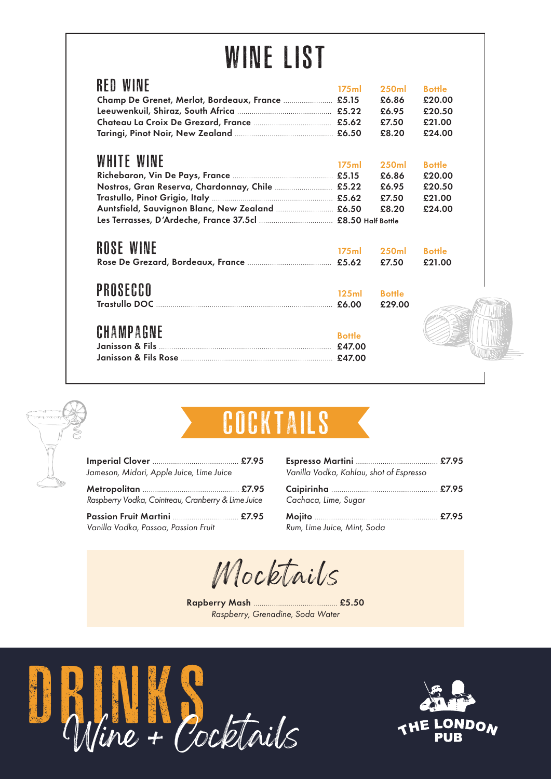# WINE LIST

| <b>RED WINE</b>                                  | 175ml             | <b>250ml</b>  | <b>Bottle</b> |
|--------------------------------------------------|-------------------|---------------|---------------|
| Champ De Grenet, Merlot, Bordeaux, France  £5.15 |                   | £6.86         | £20.00        |
|                                                  |                   | £6.95         | £20.50        |
|                                                  |                   | £7.50         | £21.00        |
|                                                  |                   | £8.20         | £24.00        |
|                                                  |                   |               |               |
| WHITE WINE                                       | 175 <sub>ml</sub> | 250ml         | <b>Bottle</b> |
|                                                  |                   | £6.86         | £20.00        |
| Nostros, Gran Reserva, Chardonnay, Chile  £5.22  |                   | £6.95         | £20.50        |
|                                                  |                   | £7.50         | £21.00        |
| Auntsfield, Sauvignon Blanc, New Zealand  £6.50  |                   | £8.20         | £24.00        |
|                                                  |                   |               |               |
|                                                  |                   |               |               |
| <b>ROSE WINE</b>                                 | 175ml             | 250ml         | <b>Bottle</b> |
|                                                  |                   | £7.50         | £21.00        |
|                                                  |                   |               |               |
|                                                  |                   |               |               |
| PROSECCO                                         | 125ml             | <b>Bottle</b> |               |
|                                                  |                   | £29.00        |               |
|                                                  |                   |               |               |
| CHAMPAGNE                                        |                   |               |               |
|                                                  | <b>Bottle</b>     |               |               |
|                                                  |                   |               |               |
|                                                  |                   |               |               |





| <b>INPIZTA</b><br>ľ<br>r í<br>$\overline{\phantom{a}}$<br>TIN TIM<br>็บ บ<br>8<br>V. |
|--------------------------------------------------------------------------------------|
|--------------------------------------------------------------------------------------|

| Jameson, Midori, Apple Juice, Lime Juice           |  |
|----------------------------------------------------|--|
| Raspberry Vodka, Cointreau, Cranberry & Lime Juice |  |
| Vanilla Vodka, Passoa, Passion Fruit               |  |

| Vanilla Vodka, Kahlau, shot of Espresso |  |
|-----------------------------------------|--|
| Cachaca, Lime, Sugar                    |  |
| Rum, Lime Juice, Mint, Soda             |  |

Mocktails

Rapberry Mash ......................................... £5.50 *Raspberry, Grenadine, Soda Water*